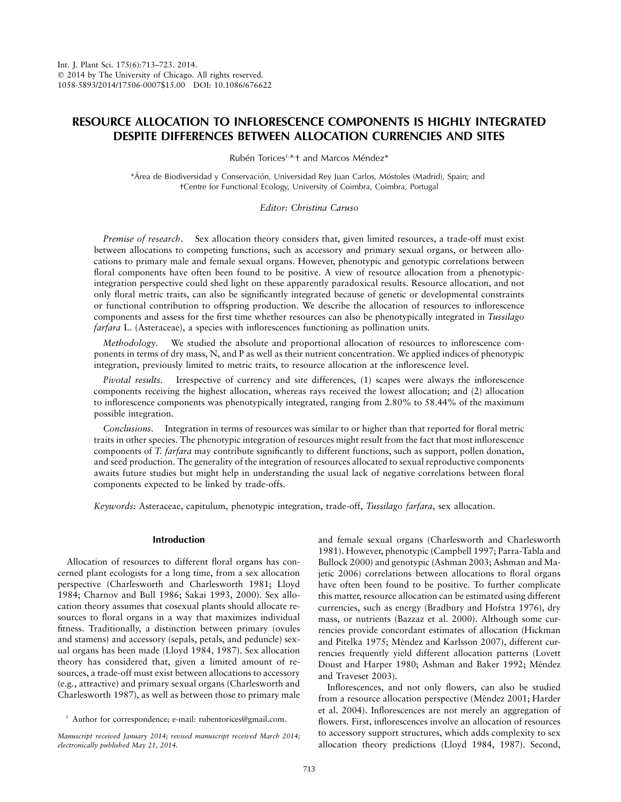# **RESOURCE ALLOCATION TO INFLORESCENCE COMPONENTS IS HIGHLY INTEGRATED DESPITE DIFFERENCES BETWEEN ALLOCATION CURRENCIES AND SITES**

Rubén Torices<sup>1,\*,</sup>† and Marcos Méndez\*

\*Área de Biodiversidad y Conservación, Universidad Rey Juan Carlos, Móstoles (Madrid), Spain; and †Centre for Functional Ecology, University of Coimbra, Coimbra, Portugal

*Editor: Christina Caruso*

*Premise of research*. Sex allocation theory considers that, given limited resources, a trade-off must exist between allocations to competing functions, such as accessory and primary sexual organs, or between allocations to primary male and female sexual organs. However, phenotypic and genotypic correlations between floral components have often been found to be positive. A view of resource allocation from a phenotypicintegration perspective could shed light on these apparently paradoxical results. Resource allocation, and not only floral metric traits, can also be significantly integrated because of genetic or developmental constraints or functional contribution to offspring production. We describe the allocation of resources to inflorescence components and assess for the first time whether resources can also be phenotypically integrated in *Tussilago farfara* L. (Asteraceae), a species with inflorescences functioning as pollination units.

*Methodology*. We studied the absolute and proportional allocation of resources to inflorescence components in terms of dry mass, N, and P as well as their nutrient concentration. We applied indices of phenotypic integration, previously limited to metric traits, to resource allocation at the inflorescence level.

*Pivotal results*. Irrespective of currency and site differences, (1) scapes were always the inflorescence components receiving the highest allocation, whereas rays received the lowest allocation; and (2) allocation to inflorescence components was phenotypically integrated, ranging from 2.80% to 58.44% of the maximum possible integration.

*Conclusions*. Integration in terms of resources was similar to or higher than that reported for floral metric traits in other species. The phenotypic integration of resources might result from the fact that most inflorescence components of *T. farfara* may contribute significantly to different functions, such as support, pollen donation, and seed production. The generality of the integration of resources allocated to sexual reproductive components awaits future studies but might help in understanding the usual lack of negative correlations between floral components expected to be linked by trade-offs.

*Keywords:* Asteraceae, capitulum, phenotypic integration, trade-off, *Tussilago farfara*, sex allocation.

## **Introduction**

Allocation of resources to different floral organs has concerned plant ecologists for a long time, from a sex allocation perspective (Charlesworth and Charlesworth 1981; Lloyd 1984; Charnov and Bull 1986; Sakai 1993, 2000). Sex allocation theory assumes that cosexual plants should allocate resources to floral organs in a way that maximizes individual fitness. Traditionally, a distinction between primary (ovules and stamens) and accessory (sepals, petals, and peduncle) sexual organs has been made (Lloyd 1984, 1987). Sex allocation theory has considered that, given a limited amount of resources, a trade-off must exist between allocations to accessory (e.g., attractive) and primary sexual organs (Charlesworth and Charlesworth 1987), as well as between those to primary male

and female sexual organs (Charlesworth and Charlesworth 1981). However, phenotypic (Campbell 1997; Parra-Tabla and Bullock 2000) and genotypic (Ashman 2003; Ashman and Majetic 2006) correlations between allocations to floral organs have often been found to be positive. To further complicate this matter, resource allocation can be estimated using different currencies, such as energy (Bradbury and Hofstra 1976), dry mass, or nutrients (Bazzaz et al. 2000). Although some currencies provide concordant estimates of allocation (Hickman and Pitelka 1975; Méndez and Karlsson 2007), different currencies frequently yield different allocation patterns (Lovett Doust and Harper 1980; Ashman and Baker 1992; Méndez and Traveset 2003).

Inflorescences, and not only flowers, can also be studied from a resource allocation perspective (Méndez 2001; Harder et al. 2004). Inflorescences are not merely an aggregation of flowers. First, inflorescences involve an allocation of resources to accessory support structures, which adds complexity to sex allocation theory predictions (Lloyd 1984, 1987). Second,

<sup>&</sup>lt;sup>1</sup> Author for correspondence; e-mail: rubentorices@gmail.com.

*Manuscript received January 2014; revised manuscript received March 2014; electronically published May 21, 2014.*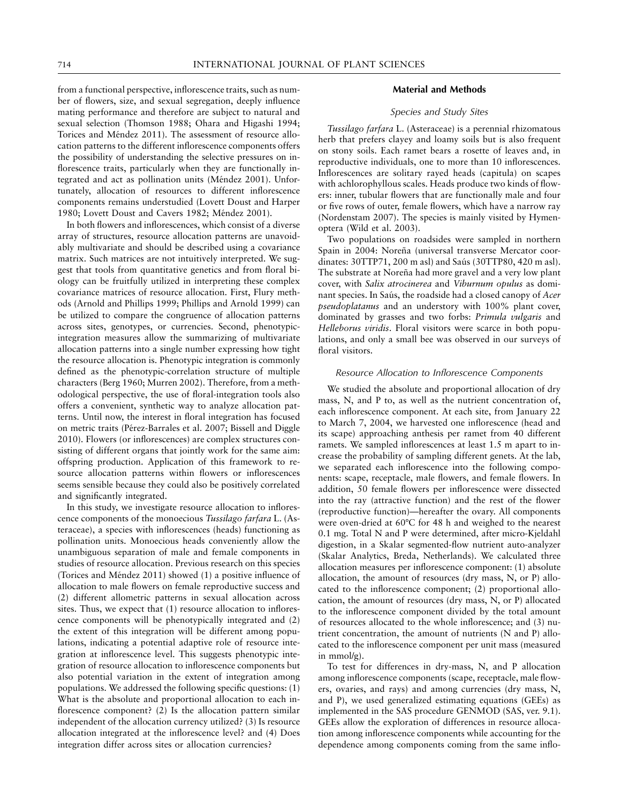from a functional perspective, inflorescence traits, such as number of flowers, size, and sexual segregation, deeply influence mating performance and therefore are subject to natural and sexual selection (Thomson 1988; Ohara and Higashi 1994; Torices and Méndez 2011). The assessment of resource allocation patterns to the different inflorescence components offers the possibility of understanding the selective pressures on inflorescence traits, particularly when they are functionally integrated and act as pollination units (Méndez 2001). Unfortunately, allocation of resources to different inflorescence components remains understudied (Lovett Doust and Harper 1980; Lovett Doust and Cavers 1982; Méndez 2001).

In both flowers and inflorescences, which consist of a diverse array of structures, resource allocation patterns are unavoidably multivariate and should be described using a covariance matrix. Such matrices are not intuitively interpreted. We suggest that tools from quantitative genetics and from floral biology can be fruitfully utilized in interpreting these complex covariance matrices of resource allocation. First, Flury methods (Arnold and Phillips 1999; Phillips and Arnold 1999) can be utilized to compare the congruence of allocation patterns across sites, genotypes, or currencies. Second, phenotypicintegration measures allow the summarizing of multivariate allocation patterns into a single number expressing how tight the resource allocation is. Phenotypic integration is commonly defined as the phenotypic-correlation structure of multiple characters (Berg 1960; Murren 2002). Therefore, from a methodological perspective, the use of floral-integration tools also offers a convenient, synthetic way to analyze allocation patterns. Until now, the interest in floral integration has focused on metric traits (Pérez-Barrales et al. 2007; Bissell and Diggle 2010). Flowers (or inflorescences) are complex structures consisting of different organs that jointly work for the same aim: offspring production. Application of this framework to resource allocation patterns within flowers or inflorescences seems sensible because they could also be positively correlated and significantly integrated.

In this study, we investigate resource allocation to inflorescence components of the monoecious *Tussilago farfara* L. (Asteraceae), a species with inflorescences (heads) functioning as pollination units. Monoecious heads conveniently allow the unambiguous separation of male and female components in studies of resource allocation. Previous research on this species (Torices and Méndez 2011) showed  $(1)$  a positive influence of allocation to male flowers on female reproductive success and (2) different allometric patterns in sexual allocation across sites. Thus, we expect that (1) resource allocation to inflorescence components will be phenotypically integrated and (2) the extent of this integration will be different among populations, indicating a potential adaptive role of resource integration at inflorescence level. This suggests phenotypic integration of resource allocation to inflorescence components but also potential variation in the extent of integration among populations. We addressed the following specific questions: (1) What is the absolute and proportional allocation to each inflorescence component? (2) Is the allocation pattern similar independent of the allocation currency utilized? (3) Is resource allocation integrated at the inflorescence level? and (4) Does integration differ across sites or allocation currencies?

## **Material and Methods**

## *Species and Study Sites*

*Tussilago farfara* L. (Asteraceae) is a perennial rhizomatous herb that prefers clayey and loamy soils but is also frequent on stony soils. Each ramet bears a rosette of leaves and, in reproductive individuals, one to more than 10 inflorescences. Inflorescences are solitary rayed heads (capitula) on scapes with achlorophyllous scales. Heads produce two kinds of flowers: inner, tubular flowers that are functionally male and four or five rows of outer, female flowers, which have a narrow ray (Nordenstam 2007). The species is mainly visited by Hymenoptera (Wild et al. 2003).

Two populations on roadsides were sampled in northern Spain in 2004: Noreña (universal transverse Mercator coordinates: 30TTP71, 200 m asl) and Saús (30TTP80, 420 m asl). The substrate at Noreña had more gravel and a very low plant cover, with *Salix atrocinerea* and *Viburnum opulus* as dominant species. In Saús, the roadside had a closed canopy of *Acer pseudoplatanus* and an understory with 100% plant cover, dominated by grasses and two forbs: *Primula vulgaris* and *Helleborus viridis*. Floral visitors were scarce in both populations, and only a small bee was observed in our surveys of floral visitors.

#### *Resource Allocation to Inflorescence Components*

We studied the absolute and proportional allocation of dry mass, N, and P to, as well as the nutrient concentration of, each inflorescence component. At each site, from January 22 to March 7, 2004, we harvested one inflorescence (head and its scape) approaching anthesis per ramet from 40 different ramets. We sampled inflorescences at least 1.5 m apart to increase the probability of sampling different genets. At the lab, we separated each inflorescence into the following components: scape, receptacle, male flowers, and female flowers. In addition, 50 female flowers per inflorescence were dissected into the ray (attractive function) and the rest of the flower (reproductive function)—hereafter the ovary. All components were oven-dried at 60°C for 48 h and weighed to the nearest 0.1 mg. Total N and P were determined, after micro-Kjeldahl digestion, in a Skalar segmented-flow nutrient auto-analyzer (Skalar Analytics, Breda, Netherlands). We calculated three allocation measures per inflorescence component: (1) absolute allocation, the amount of resources (dry mass, N, or P) allocated to the inflorescence component; (2) proportional allocation, the amount of resources (dry mass, N, or P) allocated to the inflorescence component divided by the total amount of resources allocated to the whole inflorescence; and (3) nutrient concentration, the amount of nutrients (N and P) allocated to the inflorescence component per unit mass (measured in mmol/g).

To test for differences in dry-mass, N, and P allocation among inflorescence components (scape, receptacle, male flowers, ovaries, and rays) and among currencies (dry mass, N, and P), we used generalized estimating equations (GEEs) as implemented in the SAS procedure GENMOD (SAS, ver. 9.1). GEEs allow the exploration of differences in resource allocation among inflorescence components while accounting for the dependence among components coming from the same inflo-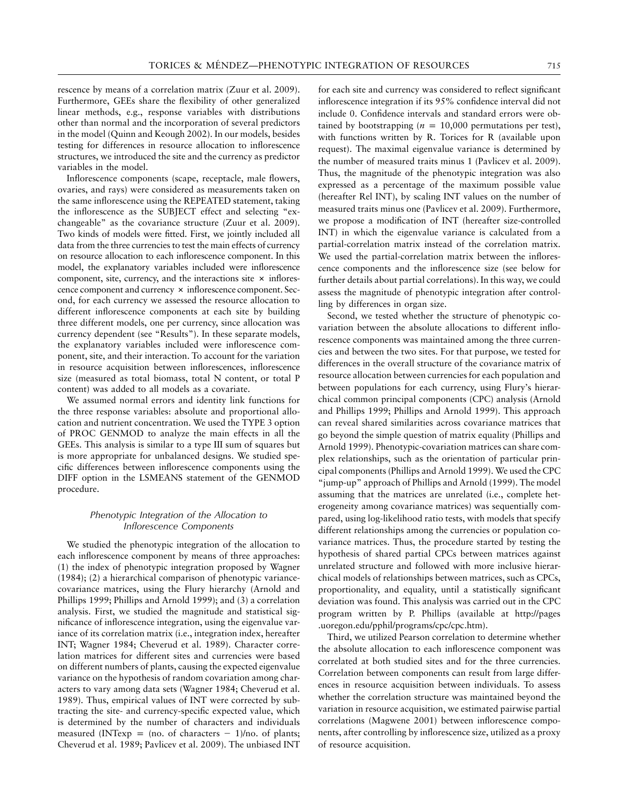rescence by means of a correlation matrix (Zuur et al. 2009). Furthermore, GEEs share the flexibility of other generalized linear methods, e.g., response variables with distributions other than normal and the incorporation of several predictors in the model (Quinn and Keough 2002). In our models, besides testing for differences in resource allocation to inflorescence structures, we introduced the site and the currency as predictor variables in the model.

Inflorescence components (scape, receptacle, male flowers, ovaries, and rays) were considered as measurements taken on the same inflorescence using the REPEATED statement, taking the inflorescence as the SUBJECT effect and selecting "exchangeable" as the covariance structure (Zuur et al. 2009). Two kinds of models were fitted. First, we jointly included all data from the three currencies to test the main effects of currency on resource allocation to each inflorescence component. In this model, the explanatory variables included were inflorescence component, site, currency, and the interactions site  $\times$  inflorescence component and currency  $\times$  inflorescence component. Second, for each currency we assessed the resource allocation to different inflorescence components at each site by building three different models, one per currency, since allocation was currency dependent (see "Results"). In these separate models, the explanatory variables included were inflorescence component, site, and their interaction. To account for the variation in resource acquisition between inflorescences, inflorescence size (measured as total biomass, total N content, or total P content) was added to all models as a covariate.

We assumed normal errors and identity link functions for the three response variables: absolute and proportional allocation and nutrient concentration. We used the TYPE 3 option of PROC GENMOD to analyze the main effects in all the GEEs. This analysis is similar to a type III sum of squares but is more appropriate for unbalanced designs. We studied specific differences between inflorescence components using the DIFF option in the LSMEANS statement of the GENMOD procedure.

### *Phenotypic Integration of the Allocation to Inflorescence Components*

We studied the phenotypic integration of the allocation to each inflorescence component by means of three approaches: (1) the index of phenotypic integration proposed by Wagner (1984); (2) a hierarchical comparison of phenotypic variancecovariance matrices, using the Flury hierarchy (Arnold and Phillips 1999; Phillips and Arnold 1999); and (3) a correlation analysis. First, we studied the magnitude and statistical significance of inflorescence integration, using the eigenvalue variance of its correlation matrix (i.e., integration index, hereafter INT; Wagner 1984; Cheverud et al. 1989). Character correlation matrices for different sites and currencies were based on different numbers of plants, causing the expected eigenvalue variance on the hypothesis of random covariation among characters to vary among data sets (Wagner 1984; Cheverud et al. 1989). Thus, empirical values of INT were corrected by subtracting the site- and currency-specific expected value, which is determined by the number of characters and individuals measured (INTexp =  $(no. of characters - 1)/no. of plants;$ Cheverud et al. 1989; Pavlicev et al. 2009). The unbiased INT

for each site and currency was considered to reflect significant inflorescence integration if its 95% confidence interval did not include 0. Confidence intervals and standard errors were obtained by bootstrapping ( $n = 10,000$  permutations per test), with functions written by R. Torices for R (available upon request). The maximal eigenvalue variance is determined by the number of measured traits minus 1 (Pavlicev et al. 2009). Thus, the magnitude of the phenotypic integration was also expressed as a percentage of the maximum possible value (hereafter Rel INT), by scaling INT values on the number of measured traits minus one (Pavlicev et al. 2009). Furthermore, we propose a modification of INT (hereafter size-controlled INT) in which the eigenvalue variance is calculated from a partial-correlation matrix instead of the correlation matrix. We used the partial-correlation matrix between the inflorescence components and the inflorescence size (see below for further details about partial correlations). In this way, we could assess the magnitude of phenotypic integration after controlling by differences in organ size.

Second, we tested whether the structure of phenotypic covariation between the absolute allocations to different inflorescence components was maintained among the three currencies and between the two sites. For that purpose, we tested for differences in the overall structure of the covariance matrix of resource allocation between currencies for each population and between populations for each currency, using Flury's hierarchical common principal components (CPC) analysis (Arnold and Phillips 1999; Phillips and Arnold 1999). This approach can reveal shared similarities across covariance matrices that go beyond the simple question of matrix equality (Phillips and Arnold 1999). Phenotypic-covariation matrices can share complex relationships, such as the orientation of particular principal components (Phillips and Arnold 1999). We used the CPC "jump-up" approach of Phillips and Arnold (1999). The model assuming that the matrices are unrelated (i.e., complete heterogeneity among covariance matrices) was sequentially compared, using log-likelihood ratio tests, with models that specify different relationships among the currencies or population covariance matrices. Thus, the procedure started by testing the hypothesis of shared partial CPCs between matrices against unrelated structure and followed with more inclusive hierarchical models of relationships between matrices, such as CPCs, proportionality, and equality, until a statistically significant deviation was found. This analysis was carried out in the CPC program written by P. Phillips (available at http://pages .uoregon.edu/pphil/programs/cpc/cpc.htm).

Third, we utilized Pearson correlation to determine whether the absolute allocation to each inflorescence component was correlated at both studied sites and for the three currencies. Correlation between components can result from large differences in resource acquisition between individuals. To assess whether the correlation structure was maintained beyond the variation in resource acquisition, we estimated pairwise partial correlations (Magwene 2001) between inflorescence components, after controlling by inflorescence size, utilized as a proxy of resource acquisition.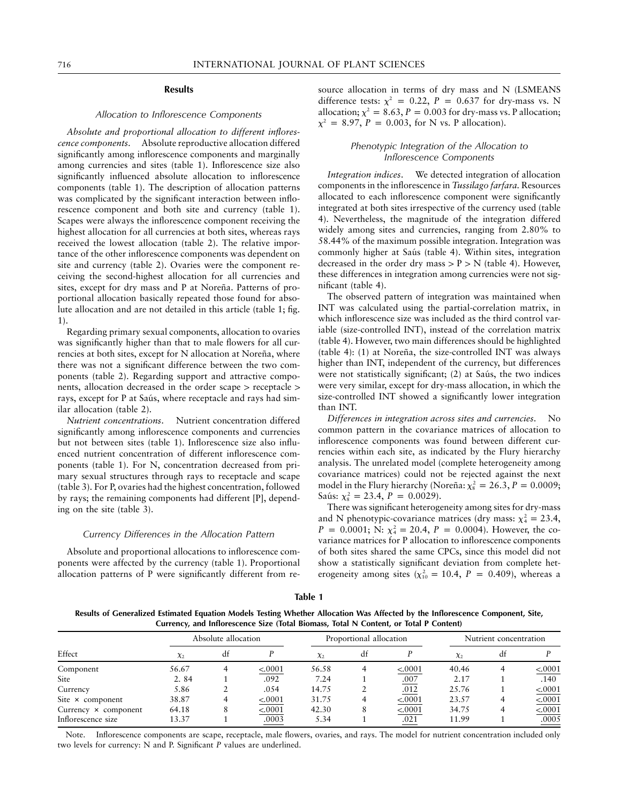## **Results**

#### *Allocation to Inflorescence Components*

*Absolute and proportional allocation to different inflorescence components*. Absolute reproductive allocation differed significantly among inflorescence components and marginally among currencies and sites (table 1). Inflorescence size also significantly influenced absolute allocation to inflorescence components (table 1). The description of allocation patterns was complicated by the significant interaction between inflorescence component and both site and currency (table 1). Scapes were always the inflorescence component receiving the highest allocation for all currencies at both sites, whereas rays received the lowest allocation (table 2). The relative importance of the other inflorescence components was dependent on site and currency (table 2). Ovaries were the component receiving the second-highest allocation for all currencies and sites, except for dry mass and P at Noreña. Patterns of proportional allocation basically repeated those found for absolute allocation and are not detailed in this article (table 1; fig. 1).

Regarding primary sexual components, allocation to ovaries was significantly higher than that to male flowers for all currencies at both sites, except for N allocation at Noreña, where there was not a significant difference between the two components (table 2). Regarding support and attractive components, allocation decreased in the order scape  $>$  receptacle  $>$ rays, except for P at Saús, where receptacle and rays had similar allocation (table 2).

*Nutrient concentrations*. Nutrient concentration differed significantly among inflorescence components and currencies but not between sites (table 1). Inflorescence size also influenced nutrient concentration of different inflorescence components (table 1). For N, concentration decreased from primary sexual structures through rays to receptacle and scape (table 3). For P, ovaries had the highest concentration, followed by rays; the remaining components had different [P], depending on the site (table 3).

#### *Currency Differences in the Allocation Pattern*

Absolute and proportional allocations to inflorescence components were affected by the currency (table 1). Proportional allocation patterns of P were significantly different from resource allocation in terms of dry mass and N (LSMEANS difference tests:  $\chi^2 = 0.22$ ,  $P = 0.637$  for dry-mass vs. N allocation;  $\chi^2 = 8.63$ ,  $P = 0.003$  for dry-mass vs. P allocation;  $\chi^2 = 8.97$ , *P* = 0.003, for N vs. P allocation).

### *Phenotypic Integration of the Allocation to Inflorescence Components*

*Integration indices*. We detected integration of allocation components in the inflorescence in *Tussilago farfara.* Resources allocated to each inflorescence component were significantly integrated at both sites irrespective of the currency used (table 4). Nevertheless, the magnitude of the integration differed widely among sites and currencies, ranging from 2.80% to 58.44% of the maximum possible integration. Integration was commonly higher at Saús (table 4). Within sites, integration decreased in the order dry mass  $> P$   $> N$  (table 4). However, these differences in integration among currencies were not significant (table 4).

The observed pattern of integration was maintained when INT was calculated using the partial-correlation matrix, in which inflorescence size was included as the third control variable (size-controlled INT), instead of the correlation matrix (table 4). However, two main differences should be highlighted (table 4): (1) at Noreña, the size-controlled INT was always higher than INT, independent of the currency, but differences were not statistically significant; (2) at Saús, the two indices were very similar, except for dry-mass allocation, in which the size-controlled INT showed a significantly lower integration than INT.

*Differences in integration across sites and currencies*. No common pattern in the covariance matrices of allocation to inflorescence components was found between different currencies within each site, as indicated by the Flury hierarchy analysis. The unrelated model (complete heterogeneity among covariance matrices) could not be rejected against the next model in the Flury hierarchy (Noreña:  $\chi^2$  = 26.3, *P* = 0.0009; Saús:  $\chi^2_{8} = 23.4, P = 0.0029$ .

There was significant heterogeneity among sites for dry-mass and N phenotypic-covariance matrices (dry mass:  $\chi^2 = 23.4$ ,  $P = 0.0001$ ; N:  $\chi^2 = 20.4$ ,  $P = 0.0004$ ). However, the covariance matrices for P allocation to inflorescence components of both sites shared the same CPCs, since this model did not show a statistically significant deviation from complete heterogeneity among sites  $(\chi_{10}^2 = 10.4, P = 0.409)$ , whereas a

| ٠<br>v | I | ٠ | ٠ |
|--------|---|---|---|
|        |   |   |   |

**Results of Generalized Estimated Equation Models Testing Whether Allocation Was Affected by the Inflorescence Component, Site, Currency, and Inflorescence Size (Total Biomass, Total N Content, or Total P Content)**

|                             |            | Absolute allocation |         |            | Proportional allocation |         |            | Nutrient concentration |         |  |
|-----------------------------|------------|---------------------|---------|------------|-------------------------|---------|------------|------------------------|---------|--|
| Effect                      | $\chi_{2}$ | df                  |         | $\chi_{2}$ | df                      |         | $\chi_{2}$ | df                     |         |  |
| Component                   | 56.67      |                     | < 0001  | 56.58      |                         | < 0001  | 40.46      |                        | < 0001  |  |
| Site                        | 2.84       |                     | .092    | 7.24       |                         | .007    | 2.17       |                        | .140    |  |
| Currency                    | 5.86       |                     | .054    | 14.75      |                         | .012    | 25.76      |                        | < .0001 |  |
| Site $\times$ component     | 38.87      |                     | < .0001 | 31.75      |                         | < 0001  | 23.57      |                        | < .0001 |  |
| Currency $\times$ component | 64.18      |                     | < .0001 | 42.30      |                         | < .0001 | 34.75      |                        | < .0001 |  |
| Inflorescence size          | 13.37      |                     | .0003   | 5.34       |                         | .021    | 11.99      |                        | .0005   |  |

Note. Inflorescence components are scape, receptacle, male flowers, ovaries, and rays. The model for nutrient concentration included only two levels for currency: N and P. Significant *P* values are underlined.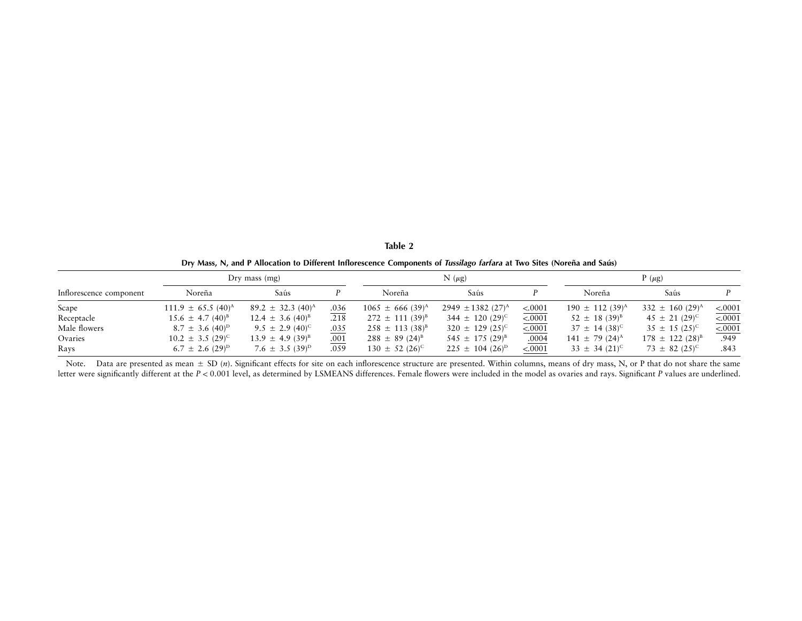| ianle |  |
|-------|--|
|       |  |

|  | Dry Mass, N, and P Allocation to Different Inflorescence Components of <i>Tussilago farfara</i> at Two Sites (Noreña and Saús) |  |  |
|--|--------------------------------------------------------------------------------------------------------------------------------|--|--|
|--|--------------------------------------------------------------------------------------------------------------------------------|--|--|

| Dry mass $(mg)$         |                               |                                 |      |                                  | $N(\mu g)$                        |         |                                 | $P(\mu g)$                      |         |  |
|-------------------------|-------------------------------|---------------------------------|------|----------------------------------|-----------------------------------|---------|---------------------------------|---------------------------------|---------|--|
| Inflorescence component | Noreña                        | Saús                            |      | Noreña                           | Saús                              |         | Noreña                          | Saús                            |         |  |
| Scape                   | $111.9 \pm 65.5 \ (40)^A$     | $89.2 \pm 32.3 \ (40)^{\rm A}$  | .036 | $1065 \pm 666$ (39) <sup>A</sup> | $2949 \pm 1382$ (27) <sup>A</sup> | < .0001 | $190 \pm 112$ (39) <sup>A</sup> | 332 $\pm$ 160 (29) <sup>A</sup> | < .0001 |  |
| Receptacle              | $15.6 \pm 4.7 \,(40)^{\rm B}$ | $12.4 \pm 3.6 \ (40)^{B}$       | .218 | $272 \pm 111 (39)^{B}$           | 344 $\pm$ 120 (29) <sup>C</sup>   | < .0001 | $52 \pm 18 (39)^8$              | $45 \pm 21 (29)^{\circ}$        | < .0001 |  |
| Male flowers            | $8.7 \pm 3.6 \ (40)^{\rm D}$  | $9.5 \pm 2.9 (40)^{\circ}$      | .035 | $258 \pm 113 (38)^8$             | $320 \pm 129$ (25) <sup>c</sup>   | < .0001 | $37 \pm 14 (38)^{\circ}$        | $35 \pm 15 (25)^{\circ}$        | 50001   |  |
| Ovaries                 | $10.2 \pm 3.5 (29)^{\circ}$   | $13.9 \pm 4.9 (39)^{B}$         | .001 | $288 \pm 89 (24)^8$              | $545 \pm 175 (29)^8$              | .0004   | $141 \pm 79$ (24) <sup>A</sup>  | $178 \pm 122$ $(28)^{B}$        | .949    |  |
| Rays                    | $6.7 \pm 2.6~(29)^{\rm D}$    | 7.6 $\pm$ 3.5 (39) <sup>D</sup> | .059 | $130 \pm 52$ (26) <sup>c</sup>   | $225 \pm 104$ (26) <sup>D</sup>   | < .0001 | $33 \pm 34$ (21) <sup>c</sup>   | $73 \pm 82$ (25) <sup>c</sup>   | .843    |  |

Note. Data are presented as mean  $\pm$  SD (n). Significant effects for site on each inflorescence structure are presented. Within columns, means of dry mass, N, or P that do not share the same letter were significantly different at the  $P < 0.001$  level, as determined by LSMEANS differences. Female flowers were included in the model as ovaries and rays. Significant *P* values are underlined.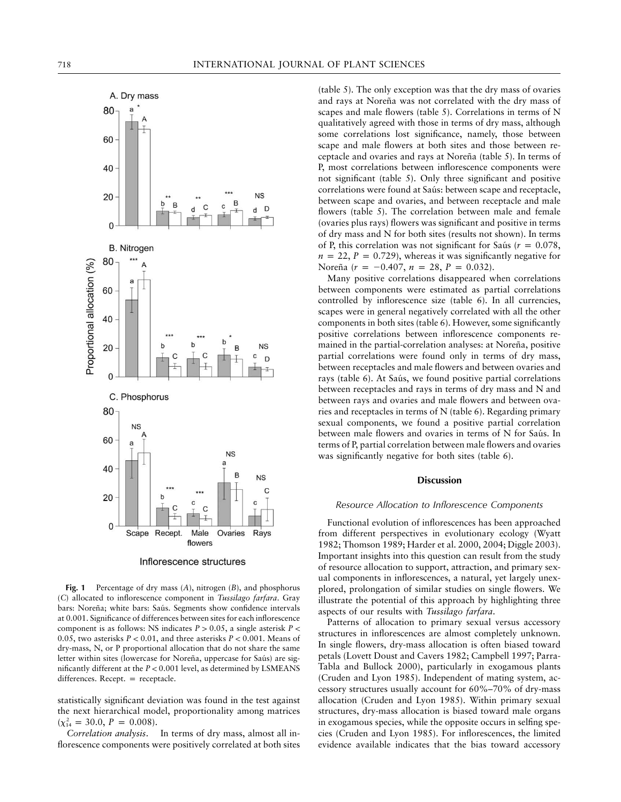

Inflorescence structures

**Fig. 1** Percentage of dry mass (*A*), nitrogen (*B*), and phosphorus (*C*) allocated to inflorescence component in *Tussilago farfara*. Gray bars: Noreña; white bars: Saús. Segments show confidence intervals at 0.001. Significance of differences between sites for each inflorescence component is as follows: NS indicates  $P > 0.05$ , a single asterisk  $P <$ 0.05, two asterisks  $P < 0.01$ , and three asterisks  $P < 0.001$ . Means of dry-mass, N, or P proportional allocation that do not share the same letter within sites (lowercase for Noreña, uppercase for Saús) are significantly different at the  $P < 0.001$  level, as determined by LSMEANS  $differences. Recept. = receptacle.$ 

statistically significant deviation was found in the test against the next hierarchical model, proportionality among matrices  $(\chi^2_{14} = 30.0, P = 0.008).$ <br>Correlation analysis.

In terms of dry mass, almost all inflorescence components were positively correlated at both sites

(table 5). The only exception was that the dry mass of ovaries and rays at Noreña was not correlated with the dry mass of scapes and male flowers (table 5). Correlations in terms of N qualitatively agreed with those in terms of dry mass, although some correlations lost significance, namely, those between scape and male flowers at both sites and those between receptacle and ovaries and rays at Noreña (table 5). In terms of P, most correlations between inflorescence components were not significant (table 5). Only three significant and positive correlations were found at Saús: between scape and receptacle, between scape and ovaries, and between receptacle and male flowers (table 5). The correlation between male and female (ovaries plus rays) flowers was significant and positive in terms of dry mass and N for both sites (results not shown). In terms of P, this correlation was not significant for Saús ( $r = 0.078$ ,  $n = 22$ ,  $P = 0.729$ ), whereas it was significantly negative for Noreña ( $r = -0.407$ ,  $n = 28$ ,  $P = 0.032$ ).

Many positive correlations disappeared when correlations between components were estimated as partial correlations controlled by inflorescence size (table 6). In all currencies, scapes were in general negatively correlated with all the other components in both sites (table 6). However, some significantly positive correlations between inflorescence components remained in the partial-correlation analyses: at Noreña, positive partial correlations were found only in terms of dry mass, between receptacles and male flowers and between ovaries and rays (table 6). At Saús, we found positive partial correlations between receptacles and rays in terms of dry mass and N and between rays and ovaries and male flowers and between ovaries and receptacles in terms of N (table 6). Regarding primary sexual components, we found a positive partial correlation between male flowers and ovaries in terms of N for Saús. In terms of P, partial correlation between male flowers and ovaries was significantly negative for both sites (table 6).

#### **Discussion**

#### *Resource Allocation to Inflorescence Components*

Functional evolution of inflorescences has been approached from different perspectives in evolutionary ecology (Wyatt 1982; Thomson 1989; Harder et al. 2000, 2004; Diggle 2003). Important insights into this question can result from the study of resource allocation to support, attraction, and primary sexual components in inflorescences, a natural, yet largely unexplored, prolongation of similar studies on single flowers. We illustrate the potential of this approach by highlighting three aspects of our results with *Tussilago farfara*.

Patterns of allocation to primary sexual versus accessory structures in inflorescences are almost completely unknown. In single flowers, dry-mass allocation is often biased toward petals (Lovett Doust and Cavers 1982; Campbell 1997; Parra-Tabla and Bullock 2000), particularly in exogamous plants (Cruden and Lyon 1985). Independent of mating system, accessory structures usually account for 60%–70% of dry-mass allocation (Cruden and Lyon 1985). Within primary sexual structures, dry-mass allocation is biased toward male organs in exogamous species, while the opposite occurs in selfing species (Cruden and Lyon 1985). For inflorescences, the limited evidence available indicates that the bias toward accessory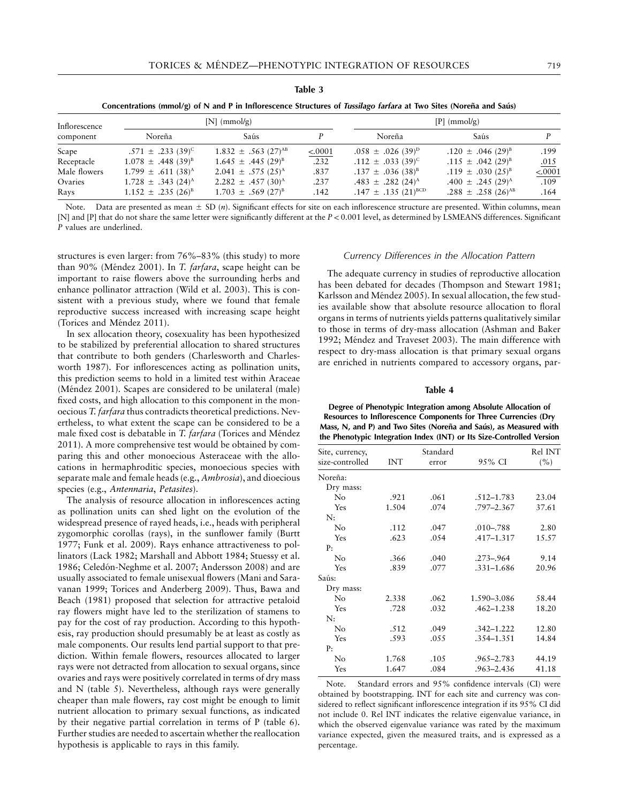| lani<br>ı |  |
|-----------|--|
|-----------|--|

| Concentrations (mmol/g) of N and P in Inflorescence Structures of <i>Tussilago farfara</i> at Two Sites (Noreña and Saús) |  |  |  |  |  |  |  |  |  |  |  |  |  |  |  |  |
|---------------------------------------------------------------------------------------------------------------------------|--|--|--|--|--|--|--|--|--|--|--|--|--|--|--|--|
|---------------------------------------------------------------------------------------------------------------------------|--|--|--|--|--|--|--|--|--|--|--|--|--|--|--|--|

| Inflorescence |                                    | $[N]$ (mmol/g)                      | $[P]$ (mmol/g) |                                     |                                    |         |  |
|---------------|------------------------------------|-------------------------------------|----------------|-------------------------------------|------------------------------------|---------|--|
| component     | Noreña                             | Saús                                |                | Noreña                              | Saús                               |         |  |
| Scape         | .571 $\pm$ .233 (39) <sup>C</sup>  | $1.832 \pm .563$ (27) <sup>AB</sup> | < 0001         | $.058 \pm .026$ (39) <sup>D</sup>   | $.120 \pm .046$ (29) <sup>B</sup>  | .199    |  |
| Receptacle    | $1.078 \pm .448(39)^8$             | $1.645 \pm .445 (29)^{B}$           | .232           | .112 $\pm$ .033 (39) <sup>c</sup>   | $.115 \pm .042$ (29) <sup>B</sup>  | .015    |  |
| Male flowers  | $1.799 \pm .611(38)^{A}$           | $2.041 \pm .575$ (25) <sup>A</sup>  | .837           | $.137 \pm .036$ (38) <sup>B</sup>   | .119 $\pm$ .030 (25) <sup>B</sup>  | < .0001 |  |
| Ovaries       | $1.728 \pm .343$ (24) <sup>A</sup> | 2.282 $\pm$ .457 (30) <sup>A</sup>  | .237           | .483 $\pm$ .282 (24) <sup>A</sup>   | .400 $\pm$ .245 (29) <sup>A</sup>  | .109    |  |
| Rays          | $1.152 \pm .235 (26)^8$            | $1.703 \pm .569$ $(27)^{B}$         | .142           | .147 $\pm$ .135 (21) <sup>BCD</sup> | .288 $\pm$ .258 (26) <sup>AB</sup> | .164    |  |

Note. Data are presented as mean  $\pm$  SD  $(n)$ . Significant effects for site on each inflorescence structure are presented. Within columns, mean [N] and [P] that do not share the same letter were significantly different at the  $P < 0.001$  level, as determined by LSMEANS differences. Significant *P* values are underlined.

structures is even larger: from 76%–83% (this study) to more than 90% (Méndez 2001). In *T. farfara*, scape height can be important to raise flowers above the surrounding herbs and enhance pollinator attraction (Wild et al. 2003). This is consistent with a previous study, where we found that female reproductive success increased with increasing scape height (Torices and Méndez 2011).

In sex allocation theory, cosexuality has been hypothesized to be stabilized by preferential allocation to shared structures that contribute to both genders (Charlesworth and Charlesworth 1987). For inflorescences acting as pollination units, this prediction seems to hold in a limited test within Araceae (Méndez 2001). Scapes are considered to be unilateral (male) fixed costs, and high allocation to this component in the monoecious *T. farfara* thus contradicts theoretical predictions. Nevertheless, to what extent the scape can be considered to be a male fixed cost is debatable in *T. farfara* (Torices and Méndez 2011). A more comprehensive test would be obtained by comparing this and other monoecious Asteraceae with the allocations in hermaphroditic species, monoecious species with separate male and female heads (e.g., *Ambrosia*), and dioecious species (e.g., *Antennaria*, *Petasites*).

The analysis of resource allocation in inflorescences acting as pollination units can shed light on the evolution of the widespread presence of rayed heads, i.e., heads with peripheral zygomorphic corollas (rays), in the sunflower family (Burtt 1977; Funk et al. 2009). Rays enhance attractiveness to pollinators (Lack 1982; Marshall and Abbott 1984; Stuessy et al. 1986; Celedón-Neghme et al. 2007; Andersson 2008) and are usually associated to female unisexual flowers (Mani and Saravanan 1999; Torices and Anderberg 2009). Thus, Bawa and Beach (1981) proposed that selection for attractive petaloid ray flowers might have led to the sterilization of stamens to pay for the cost of ray production. According to this hypothesis, ray production should presumably be at least as costly as male components. Our results lend partial support to that prediction. Within female flowers, resources allocated to larger rays were not detracted from allocation to sexual organs, since ovaries and rays were positively correlated in terms of dry mass and N (table 5). Nevertheless, although rays were generally cheaper than male flowers, ray cost might be enough to limit nutrient allocation to primary sexual functions, as indicated by their negative partial correlation in terms of P (table 6). Further studies are needed to ascertain whether the reallocation hypothesis is applicable to rays in this family.

#### *Currency Differences in the Allocation Pattern*

The adequate currency in studies of reproductive allocation has been debated for decades (Thompson and Stewart 1981; Karlsson and Méndez 2005). In sexual allocation, the few studies available show that absolute resource allocation to floral organs in terms of nutrients yields patterns qualitatively similar to those in terms of dry-mass allocation (Ashman and Baker 1992; Méndez and Traveset 2003). The main difference with respect to dry-mass allocation is that primary sexual organs are enriched in nutrients compared to accessory organs, par-

#### **Table 4**

**Degree of Phenotypic Integration among Absolute Allocation of Resources to Inflorescence Components for Three Currencies (Dry Mass, N, and P) and Two Sites (Noreña and Saús), as Measured with the Phenotypic Integration Index (INT) or Its Size-Controlled Version**

| Site, currency, |       | Standard |                | Rel INT |
|-----------------|-------|----------|----------------|---------|
| size-controlled | INT   | error    | 95% CI         | (%)     |
| Noreña:         |       |          |                |         |
| Dry mass:       |       |          |                |         |
| No              | .921  | .061     | $.512 - 1.783$ | 23.04   |
| Yes             | 1.504 | .074     | .797-2.367     | 37.61   |
| N:              |       |          |                |         |
| No              | .112  | .047     | $.010 - .788$  | 2.80    |
| Yes             | .623  | .054     | .417–1.317     | 15.57   |
| P:              |       |          |                |         |
| No              | .366  | .040     | $.273 - .964$  | 9.14    |
| Yes             | .839  | .077     | $.331 - 1.686$ | 20.96   |
| Saús:           |       |          |                |         |
| Dry mass:       |       |          |                |         |
| No              | 2.338 | .062     | 1.590-3.086    | 58.44   |
| Yes             | .728  | .032     | .462–1.238     | 18.20   |
| N:              |       |          |                |         |
| No              | .512  | .049     | .342–1.222     | 12.80   |
| Yes             | .593  | .055     | .354-1.351     | 14.84   |
| P:              |       |          |                |         |
| N <sub>o</sub>  | 1.768 | .105     | .965–2.783     | 44.19   |
| Yes             | 1.647 | .084     | .963–2.436     | 41.18   |
|                 |       |          |                |         |

Note. Standard errors and 95% confidence intervals (CI) were obtained by bootstrapping. INT for each site and currency was considered to reflect significant inflorescence integration if its 95% CI did not include 0. Rel INT indicates the relative eigenvalue variance, in which the observed eigenvalue variance was rated by the maximum variance expected, given the measured traits, and is expressed as a percentage.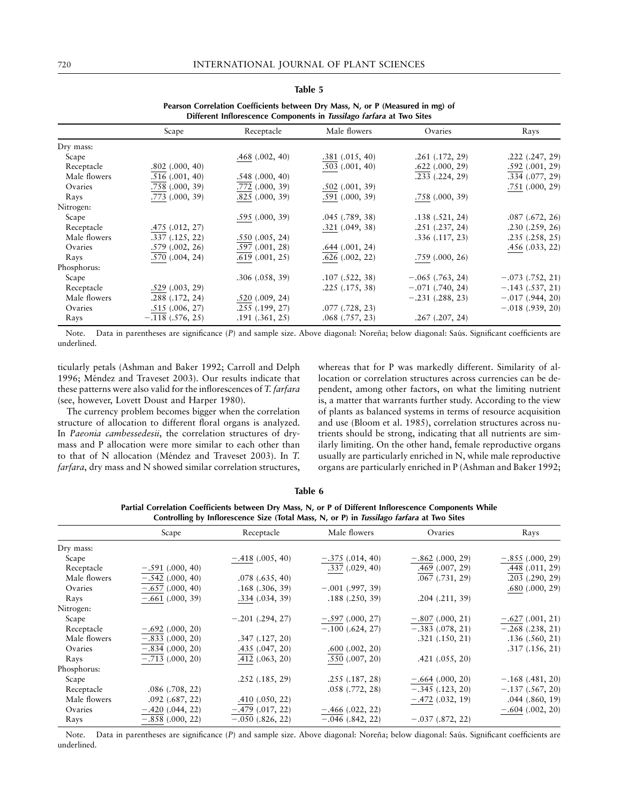|              | Different Inflorescence Components in Tussilago farfara at Two Sites |                     |                      |                      |                      |  |  |  |  |  |  |
|--------------|----------------------------------------------------------------------|---------------------|----------------------|----------------------|----------------------|--|--|--|--|--|--|
|              | Scape                                                                | Receptacle          | Male flowers         | Ovaries              | Rays                 |  |  |  |  |  |  |
| Dry mass:    |                                                                      |                     |                      |                      |                      |  |  |  |  |  |  |
| Scape        |                                                                      | $.468$ $(.002, 40)$ | .381(.015, 40)       | $.261$ $(.172, 29)$  | $.222$ $(.247, 29)$  |  |  |  |  |  |  |
| Receptacle   | $.802$ $(.000, 40)$                                                  |                     | $.503 \; (.001, 40)$ | $.622$ $(.000, 29)$  | .592(.001, 29)       |  |  |  |  |  |  |
| Male flowers | .516(.001, 40)                                                       | .548(.000, 40)      |                      | $.233$ $(.224, 29)$  | $.334 \; (.077, 29)$ |  |  |  |  |  |  |
| Ovaries      | $.758$ $(.000, 39)$                                                  | $.772$ $(.000, 39)$ | .502(.001, 39)       |                      | $.751$ $(.000, 29)$  |  |  |  |  |  |  |
| Rays         | $.773$ $(.000, 39)$                                                  | $.825$ $(.000, 39)$ | $.591$ $(.000, 39)$  | .758(.000, 39)       |                      |  |  |  |  |  |  |
| Nitrogen:    |                                                                      |                     |                      |                      |                      |  |  |  |  |  |  |
| Scape        |                                                                      | .595(.000, 39)      | $.045$ $(.789, 38)$  | .138(.521, 24)       | $.087$ $(.672, 26)$  |  |  |  |  |  |  |
| Receptacle   | .475(.012, 27)                                                       |                     | $.321$ $(.049, 38)$  | $.251$ $(.237, 24)$  | .230(.259, 26)       |  |  |  |  |  |  |
| Male flowers | .337(.125, 22)                                                       | .550(.005, 24)      |                      | .336(.117, 23)       | .235(.258, 25)       |  |  |  |  |  |  |
| Ovaries      | .579(.002, 26)                                                       | .597(.001, 28)      | $.644$ $(.001, 24)$  |                      | .456(.033, 22)       |  |  |  |  |  |  |
| Rays         | .570(.004, 24)                                                       | .619(.001, 25)      | .626(.002, 22)       | $.759$ $(.000, 26)$  |                      |  |  |  |  |  |  |
| Phosphorus:  |                                                                      |                     |                      |                      |                      |  |  |  |  |  |  |
| Scape        |                                                                      | .306(.058, 39)      | .107(.522, 38)       | $-.065$ (.763, 24)   | $-.073$ $(.752, 21)$ |  |  |  |  |  |  |
| Receptacle   | .529(.003, 29)                                                       |                     | .225(.175, 38)       | $-.071$ $(.740, 24)$ | $-.143(.537, 21)$    |  |  |  |  |  |  |
| Male flowers | .288(.172, 24)                                                       | .520(.009, 24)      |                      | $-.231$ $(.288, 23)$ | $-.017$ $(.944, 20)$ |  |  |  |  |  |  |
| Ovaries      | .515(.006, 27)                                                       | .255(.199, 27)      | $.077$ $(.728, 23)$  |                      | $-.018(.939, 20)$    |  |  |  |  |  |  |
| Rays         | $-.118(.576, 25)$                                                    | $.191$ $(.361, 25)$ | $.068$ $(.757, 23)$  | $.267$ $(.207, 24)$  |                      |  |  |  |  |  |  |

**Table 5 Pearson Correlation Coefficients between Dry Mass, N, or P (Measured in mg) of**

Note. Data in parentheses are significance (P) and sample size. Above diagonal: Noreña; below diagonal: Saús. Significant coefficients are underlined.

ticularly petals (Ashman and Baker 1992; Carroll and Delph 1996; Méndez and Traveset 2003). Our results indicate that these patterns were also valid for the inflorescences of *T. farfara* (see, however, Lovett Doust and Harper 1980).

The currency problem becomes bigger when the correlation structure of allocation to different floral organs is analyzed. In *Paeonia cambessedesii*, the correlation structures of drymass and P allocation were more similar to each other than to that of N allocation (Méndez and Traveset 2003). In *T*. *farfara*, dry mass and N showed similar correlation structures,

whereas that for P was markedly different. Similarity of allocation or correlation structures across currencies can be dependent, among other factors, on what the limiting nutrient is, a matter that warrants further study. According to the view of plants as balanced systems in terms of resource acquisition and use (Bloom et al. 1985), correlation structures across nutrients should be strong, indicating that all nutrients are similarly limiting. On the other hand, female reproductive organs usually are particularly enriched in N, while male reproductive organs are particularly enriched in P (Ashman and Baker 1992;

| Table 6                                                                                                                                                                                             |  |
|-----------------------------------------------------------------------------------------------------------------------------------------------------------------------------------------------------|--|
| Partial Correlation Coefficients between Dry Mass, N, or P of Different Inflorescence Components While<br>Controlling by Inflorescence Size (Total Mass, N, or P) in Tussilago farfara at Two Sites |  |

|              | $\cup$ $\top$        |                      |                      |                      |                     |
|--------------|----------------------|----------------------|----------------------|----------------------|---------------------|
|              | Scape                | Receptacle           | Male flowers         | Ovaries              | Rays                |
| Dry mass:    |                      |                      |                      |                      |                     |
| Scape        |                      | $-.418(.005, 40)$    | $-.375(.014, 40)$    | $-.862$ (.000, 29)   | $-.855(.000, 29)$   |
| Receptacle   | $-.591(.000, 40)$    |                      | .337(.029, 40)       | $.469$ $(.007, 29)$  | .448(.011, 29)      |
| Male flowers | $-.542(.000, 40)$    | $.078$ $(.635, 40)$  |                      | $.067$ $(.731, 29)$  | $.203$ $(.290, 29)$ |
| Ovaries      | $-.657(.000, 40)$    | $.168$ $(.306, 39)$  | $-.001$ (.997, 39)   |                      | .680(.000, 29)      |
| Rays         | $-.661(.000, 39)$    | .334(.034, 39)       | .188(.250, 39)       | $.204$ $(.211, 39)$  |                     |
| Nitrogen:    |                      |                      |                      |                      |                     |
| Scape        |                      | $-.201$ $(.294, 27)$ | $-.597(.000, 27)$    | $-.807(.000, 21)$    | $-.627(.001, 21)$   |
| Receptacle   | $-.692(.000, 20)$    |                      | $-.100$ (.624, 27)   | $-.383$ $(.078, 21)$ | $-.268(.238, 21)$   |
| Male flowers | $-.833(.000, 20)$    | $.347$ $(.127, 20)$  |                      | $.321$ $(.150, 21)$  | .136(.560, 21)      |
| Ovaries      | $-.834(.000, 20)$    | .435(.047, 20)       | .600(.002, 20)       |                      | .317(.156, 21)      |
| Rays         | $-.713$ $(.000, 20)$ | .412(.063, 20)       | .550(.007, 20)       | $.421$ $(.055, 20)$  |                     |
| Phosphorus:  |                      |                      |                      |                      |                     |
| Scape        |                      | $.252$ $(.185, 29)$  | .255(.187, 28)       | $-.664$ (.000, 20)   | $-.168(.481, 20)$   |
| Receptacle   | $.086$ $(.708, 22)$  |                      | $.058$ $(.772, 28)$  | $-.345(.123, 20)$    | $-.137(.567, 20)$   |
| Male flowers | $.092$ $(.687, 22)$  | .410(.050, 22)       |                      | $-.472$ $(.032, 19)$ | $.044$ $(.860, 19)$ |
| Ovaries      | $-.420(.044, 22)$    | $-.479$ $(.017, 22)$ | $-.466(.022, 22)$    |                      | $-.604(.002, 20)$   |
| Rays         | $-.858(.000, 22)$    | $-.050$ $(.826, 22)$ | $-.046$ $(.842, 22)$ | $-.037(.872, 22)$    |                     |

Note. Data in parentheses are significance (P) and sample size. Above diagonal: Noreña; below diagonal: Saús. Significant coefficients are underlined.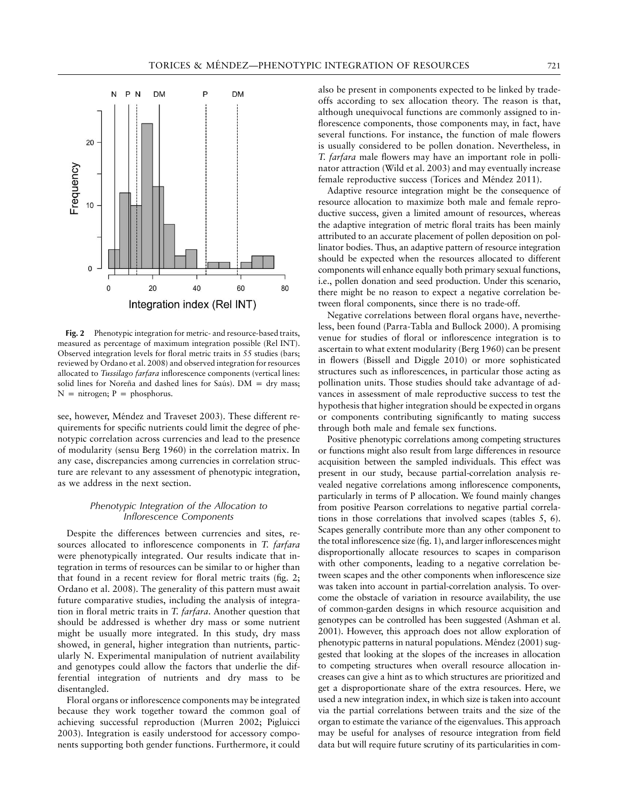

**Fig. 2** Phenotypic integration for metric- and resource-based traits, measured as percentage of maximum integration possible (Rel INT). Observed integration levels for floral metric traits in 55 studies (bars; reviewed by Ordano et al. 2008) and observed integration for resources allocated to *Tussilago farfara* inflorescence components (vertical lines: solid lines for Noreña and dashed lines for Saús).  $DM = dry$  mass;  $N =$  nitrogen; P = phosphorus.

see, however, Méndez and Traveset 2003). These different requirements for specific nutrients could limit the degree of phenotypic correlation across currencies and lead to the presence of modularity (sensu Berg 1960) in the correlation matrix. In any case, discrepancies among currencies in correlation structure are relevant to any assessment of phenotypic integration, as we address in the next section.

## *Phenotypic Integration of the Allocation to Inflorescence Components*

Despite the differences between currencies and sites, resources allocated to inflorescence components in *T. farfara* were phenotypically integrated. Our results indicate that integration in terms of resources can be similar to or higher than that found in a recent review for floral metric traits (fig. 2; Ordano et al. 2008). The generality of this pattern must await future comparative studies, including the analysis of integration in floral metric traits in *T. farfara*. Another question that should be addressed is whether dry mass or some nutrient might be usually more integrated. In this study, dry mass showed, in general, higher integration than nutrients, particularly N. Experimental manipulation of nutrient availability and genotypes could allow the factors that underlie the differential integration of nutrients and dry mass to be disentangled.

Floral organs or inflorescence components may be integrated because they work together toward the common goal of achieving successful reproduction (Murren 2002; Pigluicci 2003). Integration is easily understood for accessory components supporting both gender functions. Furthermore, it could

also be present in components expected to be linked by tradeoffs according to sex allocation theory. The reason is that, although unequivocal functions are commonly assigned to inflorescence components, those components may, in fact, have several functions. For instance, the function of male flowers is usually considered to be pollen donation. Nevertheless, in *T. farfara* male flowers may have an important role in pollinator attraction (Wild et al. 2003) and may eventually increase female reproductive success (Torices and Méndez 2011).

Adaptive resource integration might be the consequence of resource allocation to maximize both male and female reproductive success, given a limited amount of resources, whereas the adaptive integration of metric floral traits has been mainly attributed to an accurate placement of pollen deposition on pollinator bodies. Thus, an adaptive pattern of resource integration should be expected when the resources allocated to different components will enhance equally both primary sexual functions, i.e., pollen donation and seed production. Under this scenario, there might be no reason to expect a negative correlation between floral components, since there is no trade-off.

Negative correlations between floral organs have, nevertheless, been found (Parra-Tabla and Bullock 2000). A promising venue for studies of floral or inflorescence integration is to ascertain to what extent modularity (Berg 1960) can be present in flowers (Bissell and Diggle 2010) or more sophisticated structures such as inflorescences, in particular those acting as pollination units. Those studies should take advantage of advances in assessment of male reproductive success to test the hypothesis that higher integration should be expected in organs or components contributing significantly to mating success through both male and female sex functions.

Positive phenotypic correlations among competing structures or functions might also result from large differences in resource acquisition between the sampled individuals. This effect was present in our study, because partial-correlation analysis revealed negative correlations among inflorescence components, particularly in terms of P allocation. We found mainly changes from positive Pearson correlations to negative partial correlations in those correlations that involved scapes (tables 5, 6). Scapes generally contribute more than any other component to the total inflorescence size (fig. 1), and larger inflorescences might disproportionally allocate resources to scapes in comparison with other components, leading to a negative correlation between scapes and the other components when inflorescence size was taken into account in partial-correlation analysis. To overcome the obstacle of variation in resource availability, the use of common-garden designs in which resource acquisition and genotypes can be controlled has been suggested (Ashman et al. 2001). However, this approach does not allow exploration of phenotypic patterns in natural populations. Méndez (2001) suggested that looking at the slopes of the increases in allocation to competing structures when overall resource allocation increases can give a hint as to which structures are prioritized and get a disproportionate share of the extra resources. Here, we used a new integration index, in which size is taken into account via the partial correlations between traits and the size of the organ to estimate the variance of the eigenvalues. This approach may be useful for analyses of resource integration from field data but will require future scrutiny of its particularities in com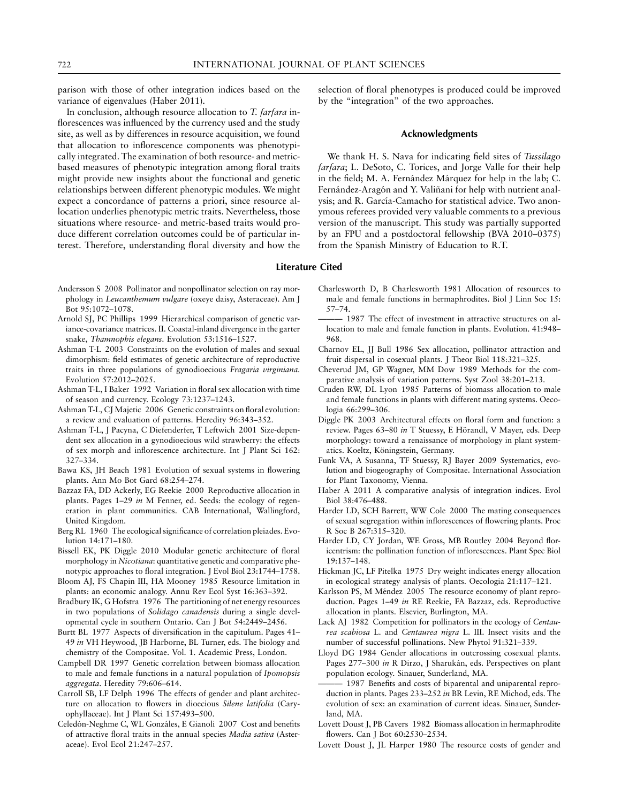parison with those of other integration indices based on the variance of eigenvalues (Haber 2011).

In conclusion, although resource allocation to *T. farfara* inflorescences was influenced by the currency used and the study site, as well as by differences in resource acquisition, we found that allocation to inflorescence components was phenotypically integrated. The examination of both resource- and metricbased measures of phenotypic integration among floral traits might provide new insights about the functional and genetic relationships between different phenotypic modules. We might expect a concordance of patterns a priori, since resource allocation underlies phenotypic metric traits. Nevertheless, those situations where resource- and metric-based traits would produce different correlation outcomes could be of particular interest. Therefore, understanding floral diversity and how the

- Andersson S 2008 Pollinator and nonpollinator selection on ray morphology in *Leucanthemum vulgare* (oxeye daisy, Asteraceae). Am J Bot 95:1072–1078.
- Arnold SJ, PC Phillips 1999 Hierarchical comparison of genetic variance-covariance matrices. II. Coastal-inland divergence in the garter snake, *Thamnophis elegans*. Evolution 53:1516–1527.
- Ashman T-L 2003 Constraints on the evolution of males and sexual dimorphism: field estimates of genetic architecture of reproductive traits in three populations of gynodioecious *Fragaria virginiana*. Evolution 57:2012–2025.
- Ashman T-L, I Baker 1992 Variation in floral sex allocation with time of season and currency. Ecology 73:1237–1243.
- Ashman T-L, CJ Majetic 2006 Genetic constraints on floral evolution: a review and evaluation of patterns. Heredity 96:343–352.
- Ashman T-L, J Pacyna, C Diefenderfer, T Leftwich 2001 Size-dependent sex allocation in a gynodioecious wild strawberry: the effects of sex morph and inflorescence architecture. Int J Plant Sci 162: 327–334.
- Bawa KS, JH Beach 1981 Evolution of sexual systems in flowering plants. Ann Mo Bot Gard 68:254–274.
- Bazzaz FA, DD Ackerly, EG Reekie 2000 Reproductive allocation in plants. Pages 1–29 *in* M Fenner, ed. Seeds: the ecology of regeneration in plant communities. CAB International, Wallingford, United Kingdom.
- Berg RL 1960 The ecological significance of correlation pleiades. Evolution 14:171–180.
- Bissell EK, PK Diggle 2010 Modular genetic architecture of floral morphology in *Nicotiana*: quantitative genetic and comparative phenotypic approaches to floral integration. J Evol Biol 23:1744–1758.
- Bloom AJ, FS Chapin III, HA Mooney 1985 Resource limitation in plants: an economic analogy. Annu Rev Ecol Syst 16:363–392.
- Bradbury IK, G Hofstra 1976 The partitioning of net energy resources in two populations of *Solidago canadensis* during a single developmental cycle in southern Ontario. Can J Bot 54:2449–2456.
- Burtt BL 1977 Aspects of diversification in the capitulum. Pages 41– 49 *in* VH Heywood, JB Harborne, BL Turner, eds. The biology and chemistry of the Compositae. Vol. 1. Academic Press, London.
- Campbell DR 1997 Genetic correlation between biomass allocation to male and female functions in a natural population of *Ipomopsis aggregata*. Heredity 79:606–614.
- Carroll SB, LF Delph 1996 The effects of gender and plant architecture on allocation to flowers in dioecious *Silene latifolia* (Caryophyllaceae). Int J Plant Sci 157:493–500.
- Celedón-Neghme C, WL Gonzáles, E Gianoli 2007 Cost and benefits of attractive floral traits in the annual species *Madia sativa* (Asteraceae). Evol Ecol 21:247–257.

selection of floral phenotypes is produced could be improved by the "integration" of the two approaches.

### **Acknowledgments**

We thank H. S. Nava for indicating field sites of *Tussilago farfara*; L. DeSoto, C. Torices, and Jorge Valle for their help in the field; M. A. Fernández Márquez for help in the lab; C. Fernández-Aragón and Y. Valiñani for help with nutrient analysis; and R. García-Camacho for statistical advice. Two anonymous referees provided very valuable comments to a previous version of the manuscript. This study was partially supported by an FPU and a postdoctoral fellowship (BVA 2010–0375) from the Spanish Ministry of Education to R.T.

## **Literature Cited**

- Charlesworth D, B Charlesworth 1981 Allocation of resources to male and female functions in hermaphrodites. Biol J Linn Soc 15: 57–74.
- 1987 The effect of investment in attractive structures on allocation to male and female function in plants. Evolution. 41:948– 968.
- Charnov EL, JJ Bull 1986 Sex allocation, pollinator attraction and fruit dispersal in cosexual plants. J Theor Biol 118:321–325.
- Cheverud JM, GP Wagner, MM Dow 1989 Methods for the comparative analysis of variation patterns. Syst Zool 38:201–213.
- Cruden RW, DL Lyon 1985 Patterns of biomass allocation to male and female functions in plants with different mating systems. Oecologia 66:299–306.
- Diggle PK 2003 Architectural effects on floral form and function: a review. Pages 63–80 *in* T Stuessy, E Hörandl, V Mayer, eds. Deep morphology: toward a renaissance of morphology in plant systematics. Koeltz, Köningstein, Germany.
- Funk VA, A Susanna, TF Stuessy, RJ Bayer 2009 Systematics, evolution and biogeography of Compositae. International Association for Plant Taxonomy, Vienna.
- Haber A 2011 A comparative analysis of integration indices. Evol Biol 38:476–488.
- Harder LD, SCH Barrett, WW Cole 2000 The mating consequences of sexual segregation within inflorescences of flowering plants. Proc R Soc B 267:315–320.
- Harder LD, CY Jordan, WE Gross, MB Routley 2004 Beyond floricentrism: the pollination function of inflorescences. Plant Spec Biol 19:137–148.
- Hickman JC, LF Pitelka 1975 Dry weight indicates energy allocation in ecological strategy analysis of plants. Oecologia 21:117–121.
- Karlsson PS, M Méndez 2005 The resource economy of plant reproduction. Pages 1–49 *in* RE Reekie, FA Bazzaz, eds. Reproductive allocation in plants. Elsevier, Burlington, MA.
- Lack AJ 1982 Competition for pollinators in the ecology of *Centaurea scabiosa* L. and *Centaurea nigra* L. III. Insect visits and the number of successful pollinations. New Phytol 91:321–339.
- Lloyd DG 1984 Gender allocations in outcrossing cosexual plants. Pages 277-300 *in* R Dirzo, J Sharukán, eds. Perspectives on plant population ecology. Sinauer, Sunderland, MA.
- 1987 Benefits and costs of biparental and uniparental reproduction in plants. Pages 233–252 *in* BR Levin, RE Michod, eds. The evolution of sex: an examination of current ideas. Sinauer, Sunderland, MA.
- Lovett Doust J, PB Cavers 1982 Biomass allocation in hermaphrodite flowers. Can J Bot 60:2530–2534.
- Lovett Doust J, JL Harper 1980 The resource costs of gender and